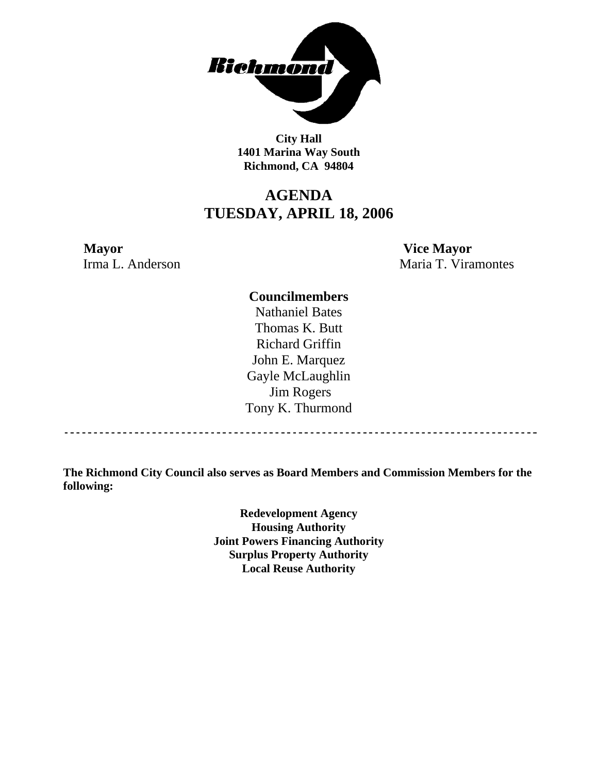

**City Hall 1401 Marina Way South Richmond, CA 94804** 

# **AGENDA TUESDAY, APRIL 18, 2006**

# **Mayor Vice Mayor**

Irma L. Anderson Maria T. Viramontes

# **Councilmembers**

Nathaniel Bates Thomas K. Butt Richard Griffin John E. Marquez Gayle McLaughlin Jim Rogers Tony K. Thurmond

**The Richmond City Council also serves as Board Members and Commission Members for the following:** 

> **Redevelopment Agency Housing Authority Joint Powers Financing Authority Surplus Property Authority Local Reuse Authority**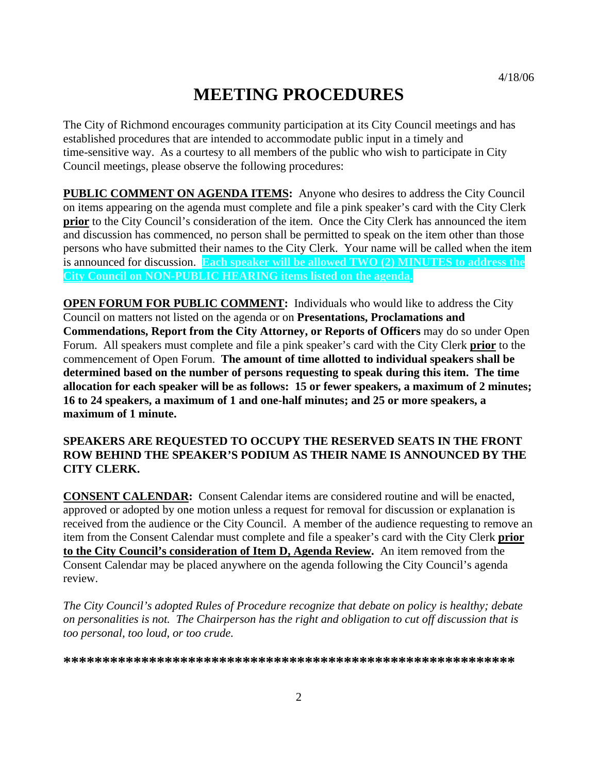# **MEETING PROCEDURES**

The City of Richmond encourages community participation at its City Council meetings and has established procedures that are intended to accommodate public input in a timely and time-sensitive way. As a courtesy to all members of the public who wish to participate in City Council meetings, please observe the following procedures:

**PUBLIC COMMENT ON AGENDA ITEMS:** Anyone who desires to address the City Council on items appearing on the agenda must complete and file a pink speaker's card with the City Clerk **prior** to the City Council's consideration of the item. Once the City Clerk has announced the item and discussion has commenced, no person shall be permitted to speak on the item other than those persons who have submitted their names to the City Clerk. Your name will be called when the item is announced for discussion. **Each speaker will be allowed TWO (2) MINUTES to address the City Council on NON-PUBLIC HEARING items listed on the agenda.** 

**OPEN FORUM FOR PUBLIC COMMENT:** Individuals who would like to address the City Council on matters not listed on the agenda or on **Presentations, Proclamations and Commendations, Report from the City Attorney, or Reports of Officers** may do so under Open Forum. All speakers must complete and file a pink speaker's card with the City Clerk **prior** to the commencement of Open Forum. **The amount of time allotted to individual speakers shall be determined based on the number of persons requesting to speak during this item. The time allocation for each speaker will be as follows: 15 or fewer speakers, a maximum of 2 minutes; 16 to 24 speakers, a maximum of 1 and one-half minutes; and 25 or more speakers, a maximum of 1 minute.** 

### **SPEAKERS ARE REQUESTED TO OCCUPY THE RESERVED SEATS IN THE FRONT ROW BEHIND THE SPEAKER'S PODIUM AS THEIR NAME IS ANNOUNCED BY THE CITY CLERK.**

**CONSENT CALENDAR:** Consent Calendar items are considered routine and will be enacted, approved or adopted by one motion unless a request for removal for discussion or explanation is received from the audience or the City Council. A member of the audience requesting to remove an item from the Consent Calendar must complete and file a speaker's card with the City Clerk **prior to the City Council's consideration of Item D, Agenda Review.** An item removed from the Consent Calendar may be placed anywhere on the agenda following the City Council's agenda review.

*The City Council's adopted Rules of Procedure recognize that debate on policy is healthy; debate on personalities is not. The Chairperson has the right and obligation to cut off discussion that is too personal, too loud, or too crude.* 

**\*\*\*\*\*\*\*\*\*\*\*\*\*\*\*\*\*\*\*\*\*\*\*\*\*\*\*\*\*\*\*\*\*\*\*\*\*\*\*\*\*\*\*\*\*\*\*\*\*\*\*\*\*\*\*\*\*\***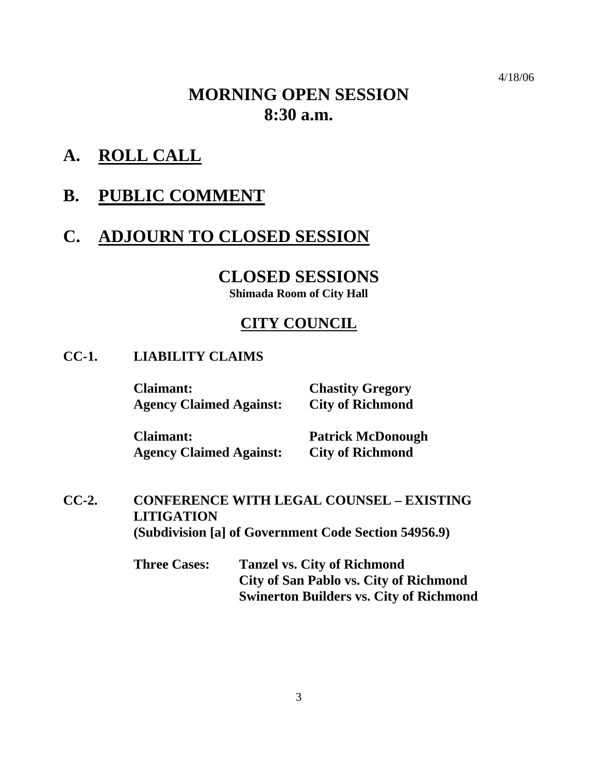4/18/06

# **MORNING OPEN SESSION 8:30 a.m.**

**A. ROLL CALL**

# **B. PUBLIC COMMENT**

# **C. ADJOURN TO CLOSED SESSION**

# **CLOSED SESSIONS**

**Shimada Room of City Hall** 

# **CITY COUNCIL**

# **CC-1. LIABILITY CLAIMS**

 **Claimant: Chastity Gregory Agency Claimed Against: City of Richmond** 

 **Claimant: Patrick McDonough Agency Claimed Against: City of Richmond** 

**CC-2. CONFERENCE WITH LEGAL COUNSEL – EXISTING LITIGATION (Subdivision [a] of Government Code Section 54956.9)** 

> **Three Cases: Tanzel vs. City of Richmond City of San Pablo vs. City of Richmond Swinerton Builders vs. City of Richmond**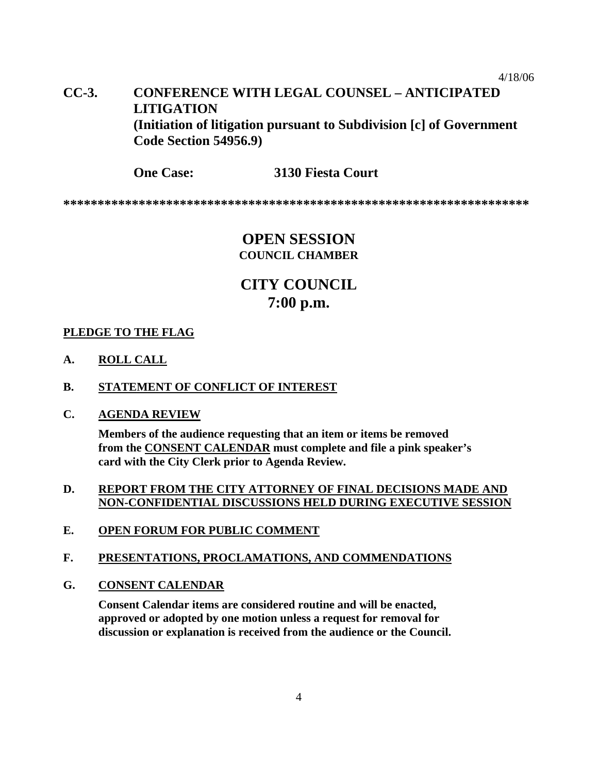# **CC-3. CONFERENCE WITH LEGAL COUNSEL – ANTICIPATED LITIGATION (Initiation of litigation pursuant to Subdivision [c] of Government Code Section 54956.9)**

 **One Case: 3130 Fiesta Court** 

**\*\*\*\*\*\*\*\*\*\*\*\*\*\*\*\*\*\*\*\*\*\*\*\*\*\*\*\*\*\*\*\*\*\*\*\*\*\*\*\*\*\*\*\*\*\*\*\*\*\*\*\*\*\*\*\*\*\*\*\*\*\*\*\*\*\*\*\*** 

# **OPEN SESSION COUNCIL CHAMBER**

# **CITY COUNCIL 7:00 p.m.**

#### **PLEDGE TO THE FLAG**

**A. ROLL CALL**

#### **B. STATEMENT OF CONFLICT OF INTEREST**

#### **C. AGENDA REVIEW**

**Members of the audience requesting that an item or items be removed from the CONSENT CALENDAR must complete and file a pink speaker's card with the City Clerk prior to Agenda Review.** 

### **D. REPORT FROM THE CITY ATTORNEY OF FINAL DECISIONS MADE AND NON-CONFIDENTIAL DISCUSSIONS HELD DURING EXECUTIVE SESSION**

**E. OPEN FORUM FOR PUBLIC COMMENT**

#### **F. PRESENTATIONS, PROCLAMATIONS, AND COMMENDATIONS**

**G. CONSENT CALENDAR**

 **Consent Calendar items are considered routine and will be enacted, approved or adopted by one motion unless a request for removal for discussion or explanation is received from the audience or the Council.**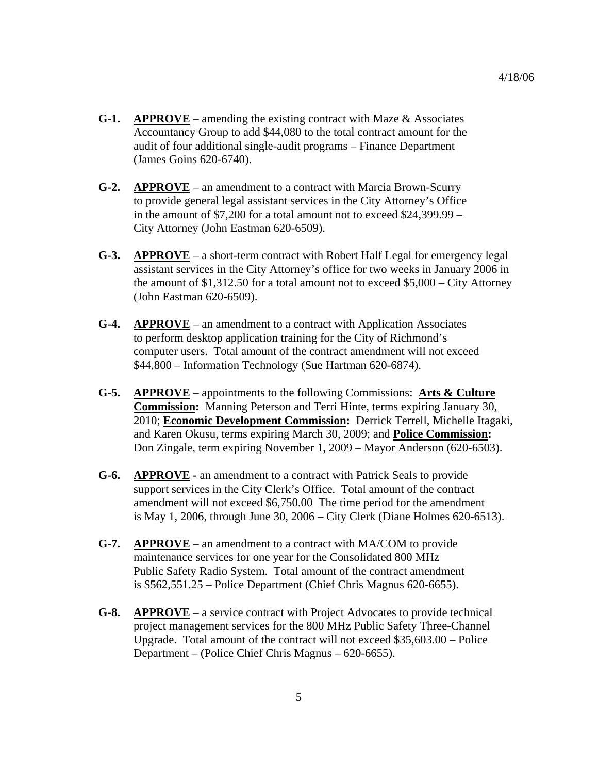- **G-1. APPROVE** amending the existing contract with Maze & Associates Accountancy Group to add \$44,080 to the total contract amount for the audit of four additional single-audit programs – Finance Department (James Goins 620-6740).
- **G-2. APPROVE** an amendment to a contract with Marcia Brown-Scurry to provide general legal assistant services in the City Attorney's Office in the amount of \$7,200 for a total amount not to exceed \$24,399.99 – City Attorney (John Eastman 620-6509).
- **G-3. APPROVE** a short-term contract with Robert Half Legal for emergency legal assistant services in the City Attorney's office for two weeks in January 2006 in the amount of \$1,312.50 for a total amount not to exceed \$5,000 – City Attorney (John Eastman 620-6509).
- **G-4. APPROVE** an amendment to a contract with Application Associates to perform desktop application training for the City of Richmond's computer users. Total amount of the contract amendment will not exceed \$44,800 – Information Technology (Sue Hartman 620-6874).
- **G-5. APPROVE** appointments to the following Commissions: **Arts & Culture Commission:** Manning Peterson and Terri Hinte, terms expiring January 30, 2010; **Economic Development Commission:** Derrick Terrell, Michelle Itagaki, and Karen Okusu, terms expiring March 30, 2009; and **Police Commission:**  Don Zingale, term expiring November 1, 2009 – Mayor Anderson (620-6503).
- **G-6. APPROVE** an amendment to a contract with Patrick Seals to provide support services in the City Clerk's Office. Total amount of the contract amendment will not exceed \$6,750.00 The time period for the amendment is May 1, 2006, through June 30, 2006 – City Clerk (Diane Holmes 620-6513).
- **G-7. APPROVE** an amendment to a contract with MA/COM to provide maintenance services for one year for the Consolidated 800 MHz Public Safety Radio System. Total amount of the contract amendment is \$562,551.25 – Police Department (Chief Chris Magnus 620-6655).
- **G-8. APPROVE** a service contract with Project Advocates to provide technical project management services for the 800 MHz Public Safety Three-Channel Upgrade. Total amount of the contract will not exceed \$35,603.00 – Police Department – (Police Chief Chris Magnus – 620-6655).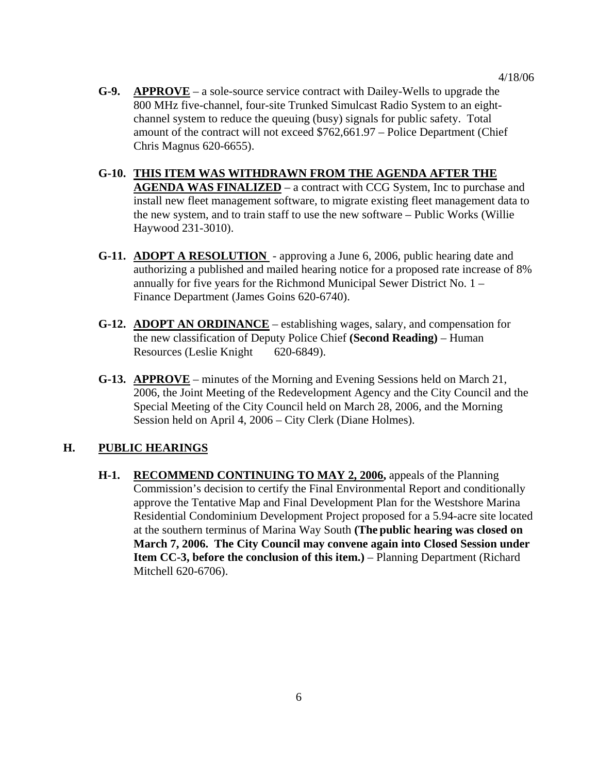- **G-9. APPROVE** a sole-source service contract with Dailey-Wells to upgrade the 800 MHz five-channel, four-site Trunked Simulcast Radio System to an eight channel system to reduce the queuing (busy) signals for public safety. Total amount of the contract will not exceed \$762,661.97 – Police Department (Chief Chris Magnus 620-6655).
- **G-10. THIS ITEM WAS WITHDRAWN FROM THE AGENDA AFTER THE AGENDA WAS FINALIZED** – a contract with CCG System, Inc to purchase and install new fleet management software, to migrate existing fleet management data to the new system, and to train staff to use the new software – Public Works (Willie Haywood 231-3010).
- **G-11. ADOPT A RESOLUTION**  approving a June 6, 2006, public hearing date and authorizing a published and mailed hearing notice for a proposed rate increase of 8% annually for five years for the Richmond Municipal Sewer District No. 1 – Finance Department (James Goins 620-6740).
- **G-12. ADOPT AN ORDINANCE** establishing wages, salary, and compensation for the new classification of Deputy Police Chief **(Second Reading)** – Human Resources (Leslie Knight 620-6849).
- **G-13. APPROVE** minutes of the Morning and Evening Sessions held on March 21, 2006, the Joint Meeting of the Redevelopment Agency and the City Council and the Special Meeting of the City Council held on March 28, 2006, and the Morning Session held on April 4, 2006 – City Clerk (Diane Holmes).

### **H. PUBLIC HEARINGS**

**H-1. RECOMMEND CONTINUING TO MAY 2, 2006,** appeals of the Planning Commission's decision to certify the Final Environmental Report and conditionally approve the Tentative Map and Final Development Plan for the Westshore Marina Residential Condominium Development Project proposed for a 5.94-acre site located at the southern terminus of Marina Way South **(The public hearing was closed on March 7, 2006. The City Council may convene again into Closed Session under Item CC-3, before the conclusion of this item.)** – Planning Department (Richard Mitchell 620-6706).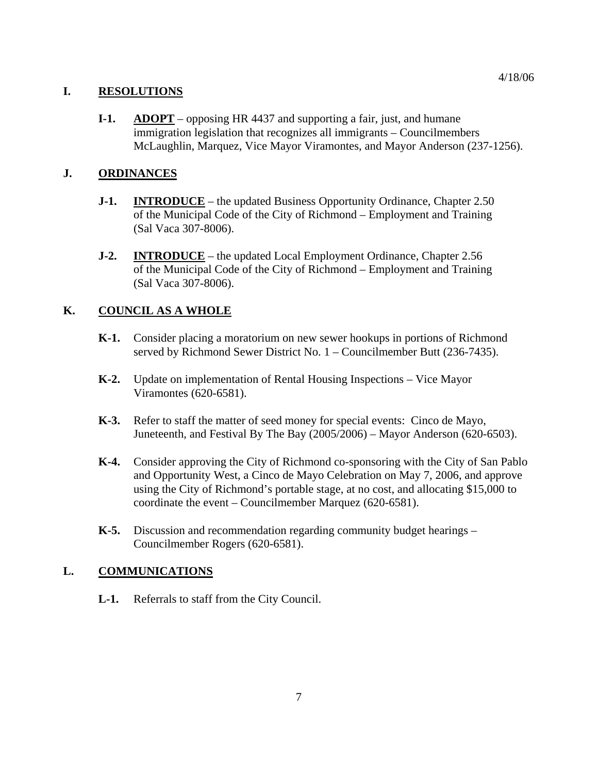4/18/06

### **I. RESOLUTIONS**

**I-1. ADOPT** – opposing HR 4437 and supporting a fair, just, and humane immigration legislation that recognizes all immigrants – Councilmembers McLaughlin, Marquez, Vice Mayor Viramontes, and Mayor Anderson (237-1256).

### **J. ORDINANCES**

- **J-1. INTRODUCE** the updated Business Opportunity Ordinance, Chapter 2.50 of the Municipal Code of the City of Richmond – Employment and Training (Sal Vaca 307-8006).
- **J-2. INTRODUCE** the updated Local Employment Ordinance, Chapter 2.56 of the Municipal Code of the City of Richmond – Employment and Training (Sal Vaca 307-8006).

# **K. COUNCIL AS A WHOLE**

- **K-1.** Consider placing a moratorium on new sewer hookups in portions of Richmond served by Richmond Sewer District No. 1 – Councilmember Butt (236-7435).
- **K-2.** Update on implementation of Rental Housing Inspections Vice Mayor Viramontes (620-6581).
- **K-3.** Refer to staff the matter of seed money for special events: Cinco de Mayo, Juneteenth, and Festival By The Bay (2005/2006) – Mayor Anderson (620-6503).
- **K-4.** Consider approving the City of Richmond co-sponsoring with the City of San Pablo and Opportunity West, a Cinco de Mayo Celebration on May 7, 2006, and approve using the City of Richmond's portable stage, at no cost, and allocating \$15,000 to coordinate the event – Councilmember Marquez (620-6581).
- **K-5.** Discussion and recommendation regarding community budget hearings Councilmember Rogers (620-6581).

# **L. COMMUNICATIONS**

 **L-1.** Referrals to staff from the City Council.